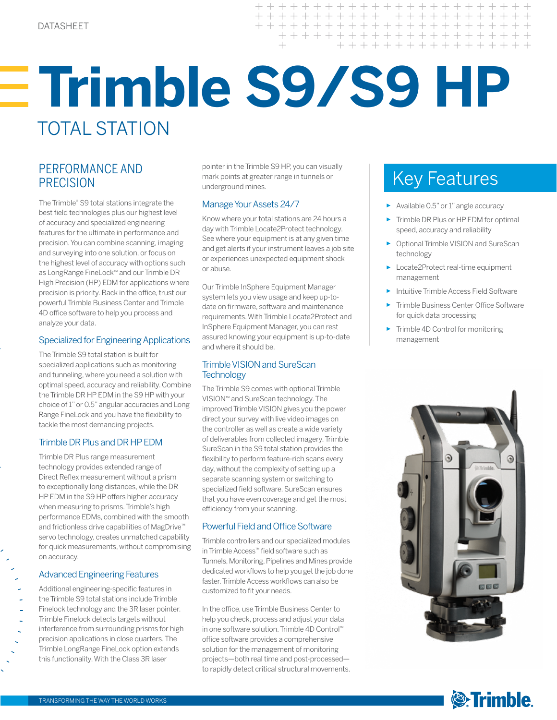# **Trimble S9/S9 HP** TOTAL STATION

## PERFORMANCE AND PRECISION

The Trimble® S9 total stations integrate the best field technologies plus our highest level of accuracy and specialized engineering features for the ultimate in performance and precision. You can combine scanning, imaging and surveying into one solution, or focus on the highest level of accuracy with options such as LongRange FineLock™ and our Trimble DR High Precision (HP) EDM for applications where precision is priority. Back in the office, trust our powerful Trimble Business Center and Trimble 4D office software to help you process and analyze your data.

## Specialized for Engineering Applications

The Trimble S9 total station is built for specialized applications such as monitoring and tunneling, where you need a solution with optimal speed, accuracy and reliability. Combine the Trimble DR HP EDM in the S9 HP with your choice of 1" or 0.5" angular accuracies and Long Range FineLock and you have the flexibility to tackle the most demanding projects.

## Trimble DR Plus and DR HP EDM

Trimble DR Plus range measurement technology provides extended range of Direct Reflex measurement without a prism to exceptionally long distances, while the DR HP EDM in the S9 HP offers higher accuracy when measuring to prisms. Trimble's high performance EDMs, combined with the smooth and frictionless drive capabilities of MagDrive™ servo technology, creates unmatched capability for quick measurements, without compromising on accuracy.

## Advanced Engineering Features

Additional engineering-specific features in the Trimble S9 total stations include Trimble Finelock technology and the 3R laser pointer. Trimble Finelock detects targets without interference from surrounding prisms for high precision applications in close quarters. The Trimble LongRange FineLock option extends this functionality. With the Class 3R laser

pointer in the Trimble S9 HP, you can visually mark points at greater range in tunnels or underground mines.

## Manage Your Assets 24/7

Know where your total stations are 24 hours a day with Trimble Locate2Protect technology. See where your equipment is at any given time and get alerts if your instrument leaves a job site or experiences unexpected equipment shock or abuse.

Our Trimble InSphere Equipment Manager system lets you view usage and keep up-todate on firmware, software and maintenance requirements. With Trimble Locate2Protect and InSphere Equipment Manager, you can rest assured knowing your equipment is up-to-date and where it should be.

## Trimble VISION and SureScan **Technology**

The Trimble S9 comes with optional Trimble VISION™ and SureScan technology. The improved Trimble VISION gives you the power direct your survey with live video images on the controller as well as create a wide variety of deliverables from collected imagery. Trimble SureScan in the S9 total station provides the flexibility to perform feature-rich scans every day, without the complexity of setting up a separate scanning system or switching to specialized field software. SureScan ensures that you have even coverage and get the most efficiency from your scanning.

## Powerful Field and Office Software

Trimble controllers and our specialized modules in Trimble Access™ field software such as Tunnels, Monitoring, Pipelines and Mines provide dedicated workflows to help you get the job done faster. Trimble Access workflows can also be customized to fit your needs.

In the office, use Trimble Business Center to help you check, process and adjust your data in one software solution. Trimble 4D Control™ office software provides a comprehensive solution for the management of monitoring projects—both real time and post-processed to rapidly detect critical structural movements.

## Key Features

- ► Available 0.5" or 1" angle accuracy
- ► Trimble DR Plus or HP EDM for optimal speed, accuracy and reliability
- ► Optional Trimble VISION and SureScan technology
- ► Locate2Protect real-time equipment management
- ► Intuitive Trimble Access Field Software
- Trimble Business Center Office Software for quick data processing
- ► Trimble 4D Control for monitoring management



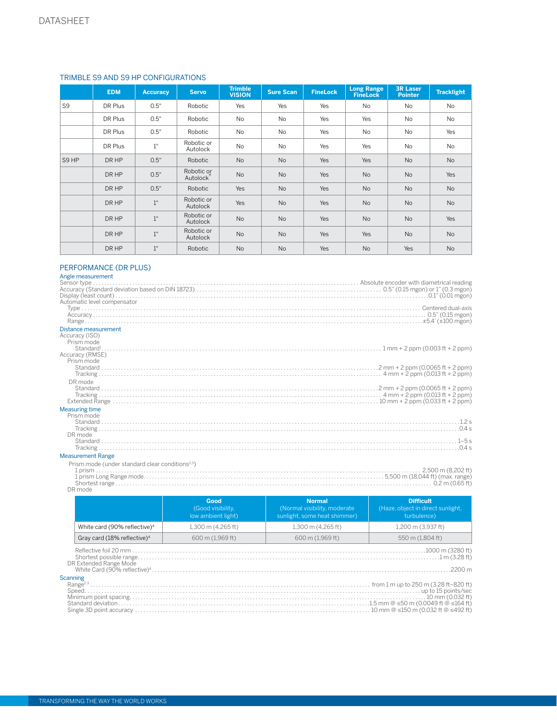## TRIMBLE S9 AND S9 HP CONFIGURATIONS

|                | <b>EDM</b> | <b>Accuracy</b> | <b>Servo</b>           | <b>Trimble</b><br><b>VISION</b> | <b>Sure Scan</b> | <b>FineLock</b> | <b>Long Range</b><br><b>FineLock</b> | <b>3R Laser</b><br><b>Pointer</b> | <b>Tracklight</b> |
|----------------|------------|-----------------|------------------------|---------------------------------|------------------|-----------------|--------------------------------------|-----------------------------------|-------------------|
| S <sub>9</sub> | DR Plus    | 0.5"            | Robotic                | Yes                             | Yes              | Yes             | <b>No</b>                            | <b>No</b>                         | No                |
|                | DR Plus    | 0.5"            | Robotic                | No                              | <b>No</b>        | Yes             | Yes                                  | <b>No</b>                         | No                |
|                | DR Plus    | 0.5"            | Robotic                | No                              | No               | Yes             | No                                   | No                                | Yes               |
|                | DR Plus    | $1^{\circ}$     | Robotic or<br>Autolock | No                              | No               | Yes             | Yes                                  | No                                | No                |
| S9 HP          | DR HP      | 0.5"            | Robotic                | No                              | <b>No</b>        | Yes             | Yes                                  | <b>No</b>                         | <b>No</b>         |
|                | DR HP      | 0.5"            | Robotic or<br>Autolock | No                              | <b>No</b>        | Yes             | <b>No</b>                            | <b>No</b>                         | Yes               |
|                | DR HP      | 0.5"            | Robotic                | Yes                             | <b>No</b>        | Yes             | <b>No</b>                            | No                                | No                |
|                | DR HP      | 1"              | Robotic or<br>Autolock | Yes                             | <b>No</b>        | Yes             | <b>No</b>                            | <b>No</b>                         | <b>No</b>         |
|                | DR HP      | $1$ "           | Robotic or<br>Autolock | No                              | <b>No</b>        | Yes             | <b>No</b>                            | No                                | Yes               |
|                | DR HP      | $1$ "           | Robotic or<br>Autolock | No                              | No               | Yes             | Yes                                  | <b>No</b>                         | No                |
|                | DR HP      | 1"              | Robotic                | <b>No</b>                       | No               | Yes             | <b>No</b>                            | Yes                               | No                |

## PERFORMANCE (DR PLUS)

## Angle measurement

| Angle measurement                                            |
|--------------------------------------------------------------|
|                                                              |
|                                                              |
|                                                              |
| Automatic level compensator                                  |
|                                                              |
|                                                              |
|                                                              |
| Distance measurement                                         |
| Accuracy (ISO)                                               |
| Prism mode                                                   |
|                                                              |
| Accuracy (RMSE)                                              |
| Prism mode                                                   |
|                                                              |
|                                                              |
| DR mode                                                      |
|                                                              |
|                                                              |
|                                                              |
|                                                              |
| <b>Measuring time</b>                                        |
| Prism mode                                                   |
|                                                              |
|                                                              |
| DR mode                                                      |
|                                                              |
|                                                              |
| <b>Measurement Range</b>                                     |
| Prism mode (under standard clear conditions <sup>2,3</sup> ) |
| 2,500 m (8,202 ft)                                           |
|                                                              |
|                                                              |
| DR mode                                                      |
|                                                              |

|                                          | Good<br>(Good visibility,<br>low ambient light)                                                 | <b>Normal</b><br>(Normal visibility, moderate<br>sunlight, some heat shimmer) | <b>Difficult</b><br>(Haze, object in direct sunlight,<br>turbulence) |
|------------------------------------------|-------------------------------------------------------------------------------------------------|-------------------------------------------------------------------------------|----------------------------------------------------------------------|
| White card (90% reflective) <sup>4</sup> | 1,300 m (4,265 ft)                                                                              | $1,300$ m $(4,265$ ft)                                                        | 1,200 m (3,937 ft)                                                   |
| Gray card (18% reflective) <sup>4</sup>  | 600 m (1,969 ft)                                                                                | 600 m (1.969 ft)                                                              | 550 m (1,804 ft)                                                     |
| DR Extended Range Mode                   |                                                                                                 |                                                                               |                                                                      |
| Scanning                                 | Single 3D point accuracy ………………………………………………………………………………………… 10 mm @ ≤150 m (0.032 ft @ ≤492 ft) |                                                                               |                                                                      |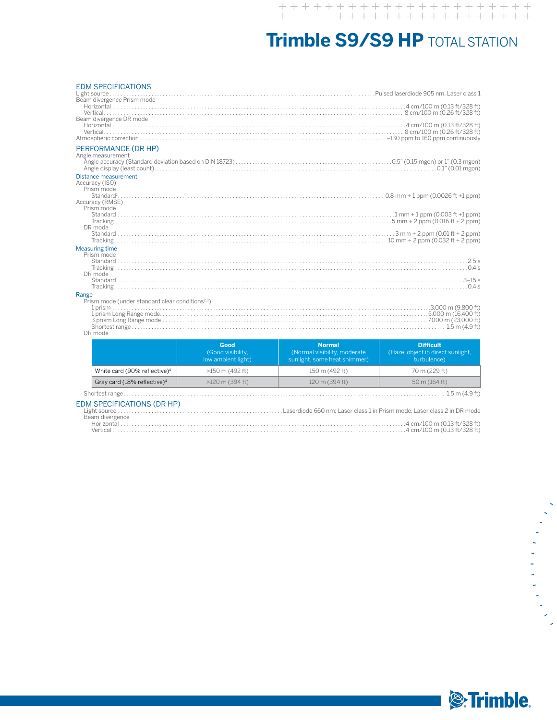## **Trimble S9/S9 HP** TOTAL STATION

| <b>EDM SPECIFICATIONS</b><br>Beam divergence Prism mode<br>Beam divergence DR mode<br>PERFORMANCE (DR HP)<br>Angle measurement |                                                 |                                                                               |                                                                      |  |  |  |
|--------------------------------------------------------------------------------------------------------------------------------|-------------------------------------------------|-------------------------------------------------------------------------------|----------------------------------------------------------------------|--|--|--|
| Distance measurement<br>Accuracy (ISO)<br>Prism mode                                                                           |                                                 |                                                                               |                                                                      |  |  |  |
| Accuracy (RMSE)<br>Prism mode                                                                                                  |                                                 |                                                                               |                                                                      |  |  |  |
|                                                                                                                                |                                                 |                                                                               |                                                                      |  |  |  |
| DR mode                                                                                                                        |                                                 |                                                                               |                                                                      |  |  |  |
| <b>Measuring time</b><br>Prism mode<br>DR mode                                                                                 |                                                 |                                                                               |                                                                      |  |  |  |
| Range<br>Prism mode (under standard clear conditions <sup>2,3</sup> )                                                          |                                                 |                                                                               |                                                                      |  |  |  |
| DR mode                                                                                                                        |                                                 |                                                                               |                                                                      |  |  |  |
|                                                                                                                                | Good<br>(Good visibility,<br>low ambient light) | <b>Normal</b><br>(Normal visibility, moderate<br>sunlight, some heat shimmer) | <b>Difficult</b><br>(Haze, object in direct sunlight,<br>turbulence) |  |  |  |
| White card (90% reflective) <sup>4</sup>                                                                                       | $>150$ m (492 ft)                               | 150 m (492 ft)                                                                | 70 m (229 ft)                                                        |  |  |  |
| Gray card (18% reflective) <sup>4</sup>                                                                                        | $>120$ m (394 ft)                               | 120 m (394 ft)                                                                | 50 m (164 ft)                                                        |  |  |  |

Shortest range. . . 1.5 m (4.9 ft)

## EDM SPECIFICATIONS (DR HP)

|                 | Light source ………………………………………………………Laserdiode 660 nm: Laser class 1 in Prism mode. Laser class 2 in DR mode |
|-----------------|------------------------------------------------------------------------------------------------------------|
| Beam divergence |                                                                                                            |
| Horizontal      |                                                                                                            |
|                 |                                                                                                            |



医单纯性细胞